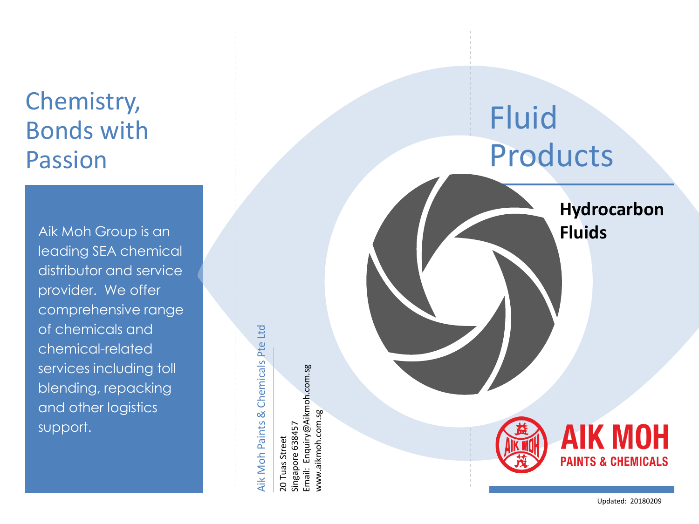## Chemistry, Bonds with Passion

Aik Moh Group is an leading SEA chemical distributor and service provider. We offer comprehensive range of chemicals and chemical -related services including toll blending, repacking and other logistics support.

## Aik Moh Paints & Chemicals Pte Ltd Aik Moh Paints & Chemicals Pte Ltd

Email: Enquiry@Aikmoh.com.sg Email: Enquiry@Aikmoh.com.sg www.aikmoh.com.sg www.aikmoh.com.sg 20 Tuas Street<br>Singapore 638457 Singapore 638457 20 Tuas Street

## Fluid Products

**Hydrocarbon Fluids**